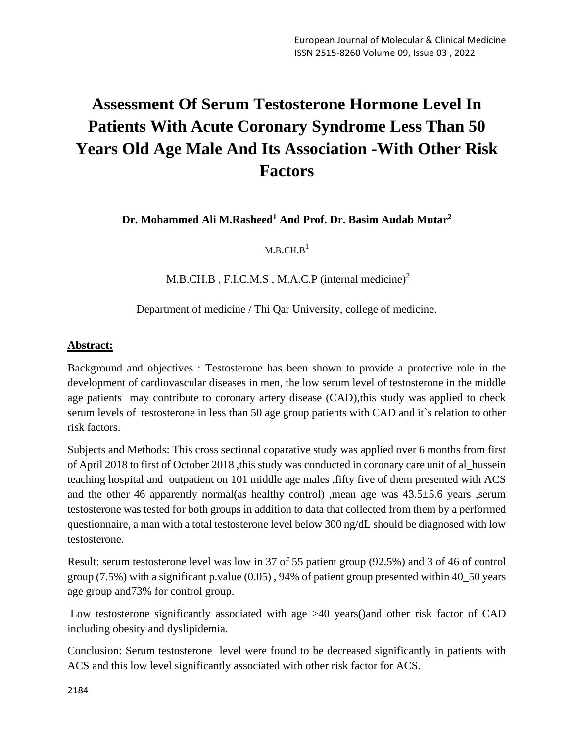# **Assessment Of Serum Testosterone Hormone Level In Patients With Acute Coronary Syndrome Less Than 50 Years Old Age Male And Its Association -With Other Risk Factors**

**Dr. Mohammed Ali M.Rasheed<sup>1</sup> And Prof. Dr. Basim Audab Mutar<sup>2</sup>**

 $M.B.CH.B<sup>1</sup>$ 

 $M.B. CH.B$ , F.I.C.M.S, M.A.C.P (internal medicine)<sup>2</sup>

Department of medicine / Thi Qar University, college of medicine.

#### **Abstract:**

Background and objectives : Testosterone has been shown to provide a protective role in the development of cardiovascular diseases in men, the low serum level of testosterone in the middle age patients may contribute to coronary artery disease (CAD),this study was applied to check serum levels of testosterone in less than 50 age group patients with CAD and it`s relation to other risk factors.

Subjects and Methods: This cross sectional coparative study was applied over 6 months from first of April 2018 to first of October 2018 ,this study was conducted in coronary care unit of al\_hussein teaching hospital and outpatient on 101 middle age males ,fifty five of them presented with ACS and the other 46 apparently normal(as healthy control) ,mean age was 43.5±5.6 years ,serum testosterone was tested for both groups in addition to data that collected from them by a performed questionnaire, a man with a total testosterone level below 300 ng/dL should be diagnosed with low testosterone.

Result: serum testosterone level was low in 37 of 55 patient group (92.5%) and 3 of 46 of control group (7.5%) with a significant p.value (0.05) , 94% of patient group presented within 40\_50 years age group and73% for control group.

Low testosterone significantly associated with age >40 years()and other risk factor of CAD including obesity and dyslipidemia.

Conclusion: Serum testosterone level were found to be decreased significantly in patients with ACS and this low level significantly associated with other risk factor for ACS.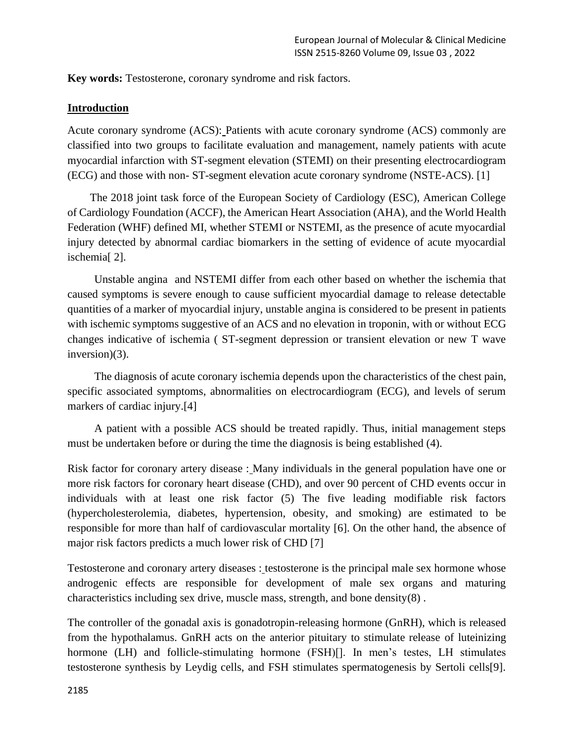**Key words:** Testosterone, coronary syndrome and risk factors.

#### **Introduction**

Acute coronary syndrome (ACS): Patients with acute coronary syndrome (ACS) commonly are classified into two groups to facilitate evaluation and management, namely patients with acute myocardial infarction with ST-segment elevation (STEMI) on their presenting electrocardiogram (ECG) and those with non- ST-segment elevation acute coronary syndrome (NSTE-ACS). [1]

 The 2018 joint task force of the European Society of Cardiology (ESC), American College of Cardiology Foundation (ACCF), the American Heart Association (AHA), and the World Health Federation (WHF) defined MI, whether STEMI or NSTEMI, as the presence of acute myocardial injury detected by abnormal cardiac biomarkers in the setting of evidence of acute myocardial ischemia[ 2].

Unstable angina and NSTEMI differ from each other based on whether the ischemia that caused symptoms is severe enough to cause sufficient myocardial damage to release detectable quantities of a marker of myocardial injury, unstable angina is considered to be present in patients with ischemic symptoms suggestive of an ACS and no elevation in troponin, with or without ECG changes indicative of ischemia ( ST-segment depression or transient elevation or new T wave inversion)(3).

The diagnosis of acute coronary ischemia depends upon the characteristics of the chest pain, specific associated symptoms, abnormalities on electrocardiogram (ECG), and levels of serum markers of cardiac injury.[4]

A patient with a possible ACS should be treated rapidly. Thus, initial management steps must be undertaken before or during the time the diagnosis is being established (4).

Risk factor for coronary artery disease : Many individuals in the general population have one or more risk factors for coronary heart disease (CHD), and over 90 percent of CHD events occur in individuals with at least one risk factor (5) The five leading modifiable risk factors (hypercholesterolemia, diabetes, hypertension, obesity, and smoking) are estimated to be responsible for more than half of cardiovascular mortality [\[6\]](https://www.uptodate.com/contents/overview-of-established-risk-factors-for-cardiovascular-disease/abstract/26). On the other hand, the absence of major risk factors predicts a much lower risk of CHD [\[7\]](https://www.uptodate.com/contents/overview-of-established-risk-factors-for-cardiovascular-disease/abstract/25)

Testosterone and coronary artery diseases : testosterone is the principal male sex hormone whose androgenic effects are responsible for development of male sex organs and maturing characteristics including sex drive, muscle mass, strength, and bone density(8) .

The controller of the gonadal axis is gonadotropin-releasing hormone (GnRH), which is released from the hypothalamus. GnRH acts on the anterior pituitary to stimulate release of luteinizing hormone (LH) and follicle-stimulating hormone (FSH)[]. In men's testes, LH stimulates testosterone synthesis by Leydig cells, and FSH stimulates spermatogenesis by Sertoli cells[9].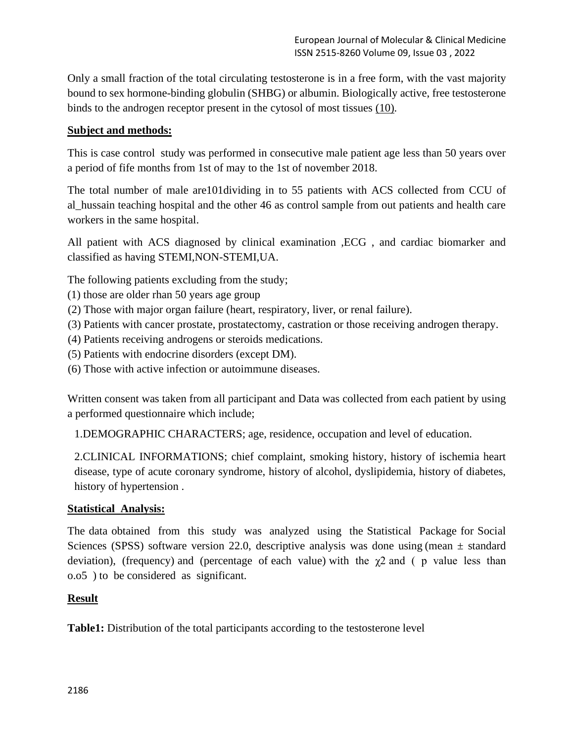Only a small fraction of the total circulating testosterone is in a free form, with the vast majority bound to sex hormone-binding globulin (SHBG) or albumin. Biologically active, free testosterone binds to the androgen receptor present in the cytosol of most tissues [\(10\).](http://www.onlinejacc.org/content/67/5/545#ref-1)

## **Subject and methods:**

This is case control study was performed in consecutive male patient age less than 50 years over a period of fife months from 1st of may to the 1st of november 2018.

The total number of male are101dividing in to 55 patients with ACS collected from CCU of al\_hussain teaching hospital and the other 46 as control sample from out patients and health care workers in the same hospital.

All patient with ACS diagnosed by clinical examination ,ECG , and cardiac biomarker and classified as having STEMI,NON-STEMI,UA.

The following patients excluding from the study;

- (1) those are older rhan 50 years age group
- (2) Those with major organ failure (heart, respiratory, liver, or renal failure).
- (3) Patients with cancer prostate, prostatectomy, castration or those receiving androgen therapy.
- (4) Patients receiving androgens or steroids medications.
- (5) Patients with endocrine disorders (except DM).
- (6) Those with active infection or autoimmune diseases.

Written consent was taken from all participant and Data was collected from each patient by using a performed questionnaire which include;

1.DEMOGRAPHIC CHARACTERS; age, residence, occupation and level of education.

2.CLINICAL INFORMATIONS; chief complaint, smoking history, history of ischemia heart disease, type of acute coronary syndrome, history of alcohol, dyslipidemia, history of diabetes, history of hypertension .

### **Statistical Analysis:**

The data obtained from this study was analyzed using the Statistical Package for Social Sciences (SPSS) software version 22.0, descriptive analysis was done using (mean  $\pm$  standard deviation), (frequency) and (percentage of each value) with the  $\chi$ 2 and ( p value less than o.o5 ) to be considered as significant.

### **Result**

**Table1:** Distribution of the total participants according to the testosterone level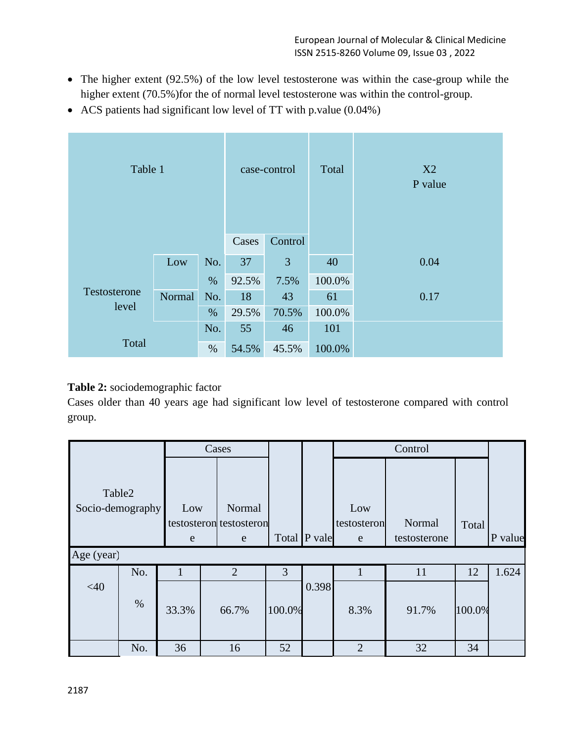- The higher extent (92.5%) of the low level testosterone was within the case-group while the higher extent (70.5%)for the of normal level testosterone was within the control-group.
- ACS patients had significant low level of TT with p.value (0.04%)

| Table 1               |            |         | case-control |       | Total  | X2<br>P value |
|-----------------------|------------|---------|--------------|-------|--------|---------------|
|                       | Cases      | Control |              |       |        |               |
|                       | Low<br>No. |         | 37           | 3     | 40     | 0.04          |
|                       |            | $\%$    | 92.5%        | 7.5%  | 100.0% |               |
| Testosterone<br>level | Normal     | No.     | 18           | 43    | 61     | 0.17          |
|                       | %          |         | 29.5%        | 70.5% | 100.0% |               |
|                       |            | No.     | 55           | 46    | 101    |               |
| Total                 | $\%$       |         |              | 45.5% | 100.0% |               |

## **Table 2:** sociodemographic factor

Cases older than 40 years age had significant low level of testosterone compared with control group.

|                                          | Cases |          |                                        |        |              | Control                 |                        |        |         |
|------------------------------------------|-------|----------|----------------------------------------|--------|--------------|-------------------------|------------------------|--------|---------|
| Table2<br>Socio-demography<br>Age (year) |       | Low<br>e | Normal<br>testosteron testosteron<br>e |        | Total P vale | Low<br>testosteron<br>e | Normal<br>testosterone | Total  | P value |
|                                          |       |          |                                        |        |              |                         |                        |        |         |
|                                          | No.   | 1        | $\overline{2}$                         | 3      |              | 1                       | 11                     | 12     | 1.624   |
| $<$ 40                                   | $\%$  | 33.3%    | 66.7%                                  | 100.0% | 0.398        | 8.3%                    | 91.7%                  | 100.0% |         |
|                                          | No.   | 36       | 16                                     | 52     |              | $\overline{2}$          | 32                     | 34     |         |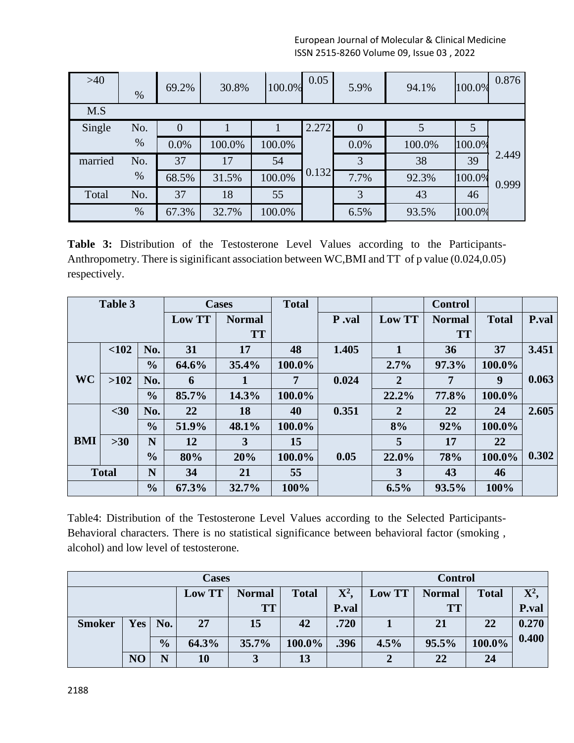European Journal of Molecular & Clinical Medicine ISSN 2515-8260 Volume 09, Issue 03 , 2022

| $>40$   | %    | 69.2%          | 30.8%  | 100.0% | 0.05  | 5.9%           | 94.1%  | 100.0% | 0.876 |
|---------|------|----------------|--------|--------|-------|----------------|--------|--------|-------|
| M.S     |      |                |        |        |       |                |        |        |       |
| Single  | No.  | $\overline{0}$ |        |        | 2.272 | $\overline{0}$ | 5      | 5      |       |
|         | $\%$ | 0.0%           | 100.0% | 100.0% |       | 0.0%           | 100.0% | 100.0% |       |
| married | No.  | 37             | 17     | 54     |       | 3              | 38     | 39     | 2.449 |
|         | $\%$ | 68.5%          | 31.5%  | 100.0% | 0.132 | 7.7%           | 92.3%  | 100.0% | 0.999 |
| Total   | No.  | 37             | 18     | 55     |       | 3              | 43     | 46     |       |
|         | %    | 67.3%          | 32.7%  | 100.0% |       | 6.5%           | 93.5%  | 100.0% |       |

**Table 3:** Distribution of the Testosterone Level Values according to the Participants-Anthropometry. There is siginificant association between WC,BMI and TT of p value (0.024,0.05) respectively.

| Table 3    |              | <b>Cases</b>  |               | <b>Total</b> |        |        | <b>Control</b> |              |        |       |
|------------|--------------|---------------|---------------|--------------|--------|--------|----------------|--------------|--------|-------|
|            |              | Low TT        | <b>Normal</b> |              | P.val  | Low TT | <b>Normal</b>  | <b>Total</b> | P.val  |       |
|            |              |               |               | <b>TT</b>    |        |        |                | <b>TT</b>    |        |       |
|            | < 102        | No.           | 31            | 17           | 48     | 1.405  | 1              | 36           | 37     | 3.451 |
|            |              | $\frac{0}{0}$ | 64.6%         | 35.4%        | 100.0% |        | 2.7%           | 97.3%        | 100.0% |       |
| WC         | >102         | No.           | 6             |              | 7      | 0.024  | $\overline{2}$ | 7            | 9      | 0.063 |
|            |              | $\frac{6}{9}$ | 85.7%         | 14.3%        | 100.0% |        | 22.2%          | 77.8%        | 100.0% |       |
|            | $30$         | No.           | 22            | 18           | 40     | 0.351  | $\overline{2}$ | 22           | 24     | 2.605 |
|            |              | $\frac{0}{0}$ | 51.9%         | 48.1%        | 100.0% |        | 8%             | 92%          | 100.0% |       |
| <b>BMI</b> | $>30$        | N             | 12            | 3            | 15     |        | 5              | 17           | 22     |       |
|            |              | $\frac{0}{0}$ | 80%           | 20%          | 100.0% | 0.05   | 22.0%          | 78%          | 100.0% | 0.302 |
|            | <b>Total</b> | N             | 34            | 21           | 55     |        | $\overline{3}$ | 43           | 46     |       |
|            |              | $\frac{6}{6}$ | 67.3%         | 32.7%        | 100%   |        | 6.5%           | 93.5%        | 100%   |       |

Table4: Distribution of the Testosterone Level Values according to the Selected Participants-Behavioral characters. There is no statistical significance between behavioral factor (smoking , alcohol) and low level of testosterone.

|               |                |                | <b>Cases</b> | <b>Control</b> |              |       |        |               |              |              |
|---------------|----------------|----------------|--------------|----------------|--------------|-------|--------|---------------|--------------|--------------|
|               |                |                | Low TT       | <b>Normal</b>  | <b>Total</b> | $X^2$ | Low TT | <b>Normal</b> | <b>Total</b> | ${\bf X}^2$  |
|               |                |                |              | <b>TT</b>      |              | P.val |        | <b>TT</b>     |              | <b>P.val</b> |
| <b>Smoker</b> |                | $Yes \mid No.$ | 27           | 15             | 42           | .720  |        | 21            | 22           | 0.270        |
|               |                | $\frac{0}{0}$  | 64.3%        | 35.7%          | $100.0\%$    | .396  | 4.5%   | 95.5%         | 100.0%       | 0.400        |
|               | N <sub>O</sub> | N              | 10           |                | 13           |       |        | 22            | 24           |              |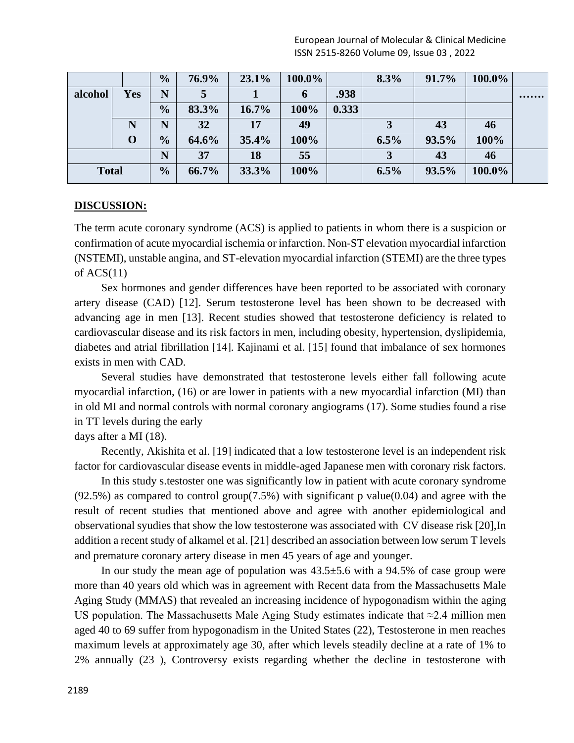| European Journal of Molecular & Clinical Medicine |
|---------------------------------------------------|
| ISSN 2515-8260 Volume 09, Issue 03, 2022          |

|              |            | $\frac{0}{0}$ | 76.9% | 23.1% | 100.0%      |       | 8.3% | 91.7% | 100.0% |  |
|--------------|------------|---------------|-------|-------|-------------|-------|------|-------|--------|--|
| alcohol      | <b>Yes</b> | N             |       |       | $\mathbf b$ | .938  |      |       |        |  |
|              |            | $\frac{0}{0}$ | 83.3% | 16.7% | 100%        | 0.333 |      |       |        |  |
|              |            | N             | 32    | 17    | 49          |       |      | 43    | 46     |  |
|              | $\bf{0}$   | $\frac{0}{0}$ | 64.6% | 35.4% | 100%        |       | 6.5% | 93.5% | 100%   |  |
|              |            | N             | 37    | 18    | 55          |       |      | 43    | 46     |  |
| <b>Total</b> |            | $\frac{0}{0}$ | 66.7% | 33.3% | 100%        |       | 6.5% | 93.5% | 100.0% |  |

#### **DISCUSSION:**

The term acute coronary syndrome (ACS) is applied to patients in whom there is a suspicion or confirmation of acute myocardial ischemia or infarction. Non-ST elevation myocardial infarction (NSTEMI), unstable angina, and ST-elevation myocardial infarction (STEMI) are the three types of  $ACS(11)$ 

Sex hormones and gender differences have been reported to be associated with coronary artery disease (CAD) [12]. Serum testosterone level has been shown to be decreased with advancing age in men [13]. Recent studies showed that testosterone deficiency is related to cardiovascular disease and its risk factors in men, including obesity, hypertension, dyslipidemia, diabetes and atrial fibrillation [14]. Kajinami et al. [15] found that imbalance of sex hormones exists in men with CAD.

Several studies have demonstrated that testosterone levels either fall following acute myocardial infarction, (16) or are lower in patients with a new myocardial infarction (MI) than in old MI and normal controls with normal coronary angiograms (17). Some studies found a rise in TT levels during the early

days after a MI (18).

Recently, Akishita et al. [19] indicated that a low testosterone level is an independent risk factor for cardiovascular disease events in middle-aged Japanese men with coronary risk factors.

In this study s.testoster one was significantly low in patient with acute coronary syndrome  $(92.5\%)$  as compared to control group $(7.5\%)$  with significant p value $(0.04)$  and agree with the result of recent studies that mentioned above and agree with another epidemiological and observational syudies that show the low testosterone was associated with CV disease risk [20],In addition a recent study of alkamel et al. [21] described an association between low serum T levels and premature coronary artery disease in men 45 years of age and younger.

In our study the mean age of population was  $43.5\pm5.6$  with a 94.5% of case group were more than 40 years old which was in agreement with Recent data from the Massachusetts Male Aging Study (MMAS) that revealed an increasing incidence of hypogonadism within the aging US population. The Massachusetts Male Aging Study estimates indicate that  $\approx$ 2.4 million men aged 40 to 69 suffer from hypogonadism in the United States (22), Testosterone in men reaches maximum levels at approximately age 30, after which levels steadily decline at a rate of 1% to 2% annually (23 ), Controversy exists regarding whether the decline in testosterone with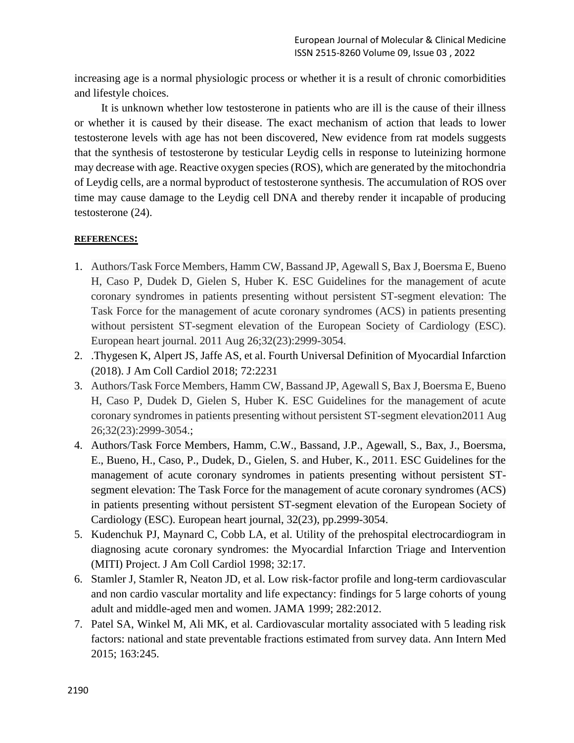increasing age is a normal physiologic process or whether it is a result of chronic comorbidities and lifestyle choices.

It is unknown whether low testosterone in patients who are ill is the cause of their illness or whether it is caused by their disease. The exact mechanism of action that leads to lower testosterone levels with age has not been discovered, New evidence from rat models suggests that the synthesis of testosterone by testicular Leydig cells in response to luteinizing hormone may decrease with age. Reactive oxygen species (ROS), which are generated by the mitochondria of Leydig cells, are a normal byproduct of testosterone synthesis. The accumulation of ROS over time may cause damage to the Leydig cell DNA and thereby render it incapable of producing testosterone (24).

### **REFERENCES:**

- 1. Authors/Task Force Members, Hamm CW, Bassand JP, Agewall S, Bax J, Boersma E, Bueno H, Caso P, Dudek D, Gielen S, Huber K. ESC Guidelines for the management of acute coronary syndromes in patients presenting without persistent ST-segment elevation: The Task Force for the management of acute coronary syndromes (ACS) in patients presenting without persistent ST-segment elevation of the European Society of Cardiology (ESC). European heart journal. 2011 Aug 26;32(23):2999-3054.
- 2. .Thygesen K, Alpert JS, Jaffe AS, et al. Fourth Universal Definition of Myocardial Infarction (2018). J Am Coll Cardiol 2018; 72:2231
- 3. Authors/Task Force Members, Hamm CW, Bassand JP, Agewall S, Bax J, Boersma E, Bueno H, Caso P, Dudek D, Gielen S, Huber K. ESC Guidelines for the management of acute coronary syndromes in patients presenting without persistent ST-segment elevation2011 Aug 26;32(23):2999-3054.;
- 4. Authors/Task Force Members, Hamm, C.W., Bassand, J.P., Agewall, S., Bax, J., Boersma, E., Bueno, H., Caso, P., Dudek, D., Gielen, S. and Huber, K., 2011. ESC Guidelines for the management of acute coronary syndromes in patients presenting without persistent STsegment elevation: The Task Force for the management of acute coronary syndromes (ACS) in patients presenting without persistent ST-segment elevation of the European Society of Cardiology (ESC). European heart journal, 32(23), pp.2999-3054.
- 5. [Kudenchuk PJ, Maynard C, Cobb LA, et al. Utility of the prehospital electrocardiogram in](https://www.uptodate.com/contents/initial-evaluation-and-management-of-suspected-acute-coronary-syndrome-myocardial-infarction-unstable-angina-in-the-emergency-department/abstract/3)  [diagnosing acute coronary syndromes: the Myocardial Infarction Triage and Intervention](https://www.uptodate.com/contents/initial-evaluation-and-management-of-suspected-acute-coronary-syndrome-myocardial-infarction-unstable-angina-in-the-emergency-department/abstract/3)  [\(MITI\) Project. J Am Coll Cardiol 1998; 32:17.](https://www.uptodate.com/contents/initial-evaluation-and-management-of-suspected-acute-coronary-syndrome-myocardial-infarction-unstable-angina-in-the-emergency-department/abstract/3)
- 6. [Stamler J, Stamler R, Neaton JD, et al. Low risk-factor profile and long-term cardiovascular](https://www.uptodate.com/contents/overview-of-established-risk-factors-for-cardiovascular-disease/abstract/25)  and non cardio [vascular mortality and life expectancy: findings for 5 large cohorts of young](https://www.uptodate.com/contents/overview-of-established-risk-factors-for-cardiovascular-disease/abstract/25)  [adult and middle-aged men and women. JAMA 1999; 282:2012.](https://www.uptodate.com/contents/overview-of-established-risk-factors-for-cardiovascular-disease/abstract/25)
- 7. [Patel SA, Winkel M, Ali MK, et al. Cardiovascular mortality associated with 5 leading risk](https://www.uptodate.com/contents/overview-of-established-risk-factors-for-cardiovascular-disease/abstract/26)  [factors: national and state preventable fractions estimated from survey data. Ann Intern Med](https://www.uptodate.com/contents/overview-of-established-risk-factors-for-cardiovascular-disease/abstract/26)  [2015; 163:245.](https://www.uptodate.com/contents/overview-of-established-risk-factors-for-cardiovascular-disease/abstract/26)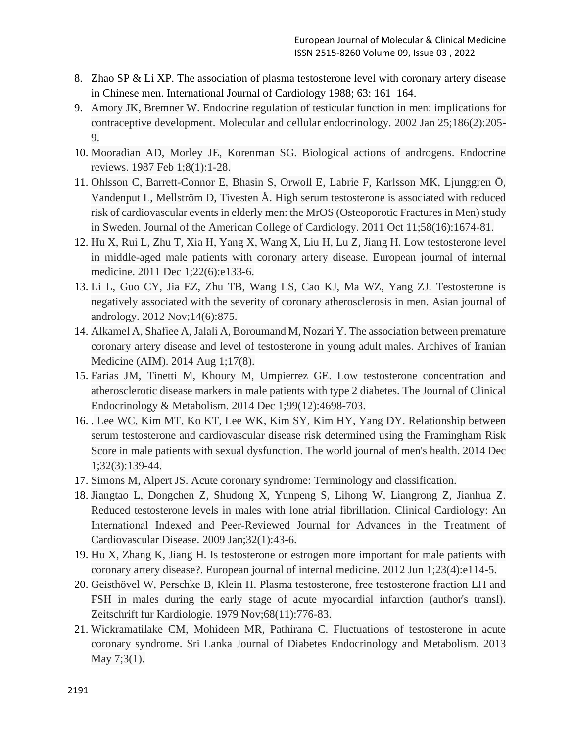- 8. Zhao SP & Li XP. The association of plasma testosterone level with coronary artery disease in Chinese men. International Journal of Cardiology 1988; 63: 161–164.
- 9. Amory JK, Bremner W. Endocrine regulation of testicular function in men: implications for contraceptive development. Molecular and cellular endocrinology. 2002 Jan 25;186(2):205- 9.
- 10. Mooradian AD, Morley JE, Korenman SG. Biological actions of androgens. Endocrine reviews. 1987 Feb 1;8(1):1-28.
- 11. Ohlsson C, Barrett-Connor E, Bhasin S, Orwoll E, Labrie F, Karlsson MK, Ljunggren Ö, Vandenput L, Mellström D, Tivesten Å. High serum testosterone is associated with reduced risk of cardiovascular events in elderly men: the MrOS (Osteoporotic Fractures in Men) study in Sweden. Journal of the American College of Cardiology. 2011 Oct 11;58(16):1674-81.
- 12. Hu X, Rui L, Zhu T, Xia H, Yang X, Wang X, Liu H, Lu Z, Jiang H. Low testosterone level in middle-aged male patients with coronary artery disease. European journal of internal medicine. 2011 Dec 1;22(6):e133-6.
- 13. Li L, Guo CY, Jia EZ, Zhu TB, Wang LS, Cao KJ, Ma WZ, Yang ZJ. Testosterone is negatively associated with the severity of coronary atherosclerosis in men. Asian journal of andrology. 2012 Nov;14(6):875.
- 14. Alkamel A, Shafiee A, Jalali A, Boroumand M, Nozari Y. The association between premature coronary artery disease and level of testosterone in young adult males. Archives of Iranian Medicine (AIM). 2014 Aug 1;17(8).
- 15. Farias JM, Tinetti M, Khoury M, Umpierrez GE. Low testosterone concentration and atherosclerotic disease markers in male patients with type 2 diabetes. The Journal of Clinical Endocrinology & Metabolism. 2014 Dec 1;99(12):4698-703.
- 16. . Lee WC, Kim MT, Ko KT, Lee WK, Kim SY, Kim HY, Yang DY. Relationship between serum testosterone and cardiovascular disease risk determined using the Framingham Risk Score in male patients with sexual dysfunction. The world journal of men's health. 2014 Dec 1;32(3):139-44.
- 17. Simons M, Alpert JS. Acute coronary syndrome: Terminology and classification.
- 18. Jiangtao L, Dongchen Z, Shudong X, Yunpeng S, Lihong W, Liangrong Z, Jianhua Z. Reduced testosterone levels in males with lone atrial fibrillation. Clinical Cardiology: An International Indexed and Peer‐Reviewed Journal for Advances in the Treatment of Cardiovascular Disease. 2009 Jan;32(1):43-6.
- 19. Hu X, Zhang K, Jiang H. Is testosterone or estrogen more important for male patients with coronary artery disease?. European journal of internal medicine. 2012 Jun 1;23(4):e114-5.
- 20. Geisthövel W, Perschke B, Klein H. Plasma testosterone, free testosterone fraction LH and FSH in males during the early stage of acute myocardial infarction (author's transl). Zeitschrift fur Kardiologie. 1979 Nov;68(11):776-83.
- 21. Wickramatilake CM, Mohideen MR, Pathirana C. Fluctuations of testosterone in acute coronary syndrome. Sri Lanka Journal of Diabetes Endocrinology and Metabolism. 2013 May 7;3(1).